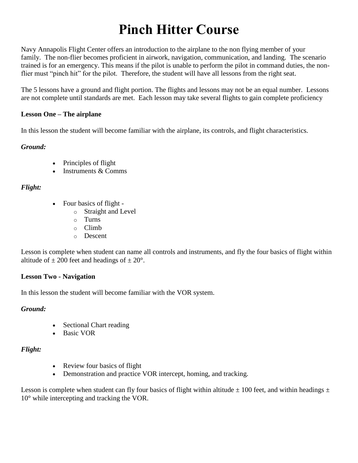# **Pinch Hitter Course**

Navy Annapolis Flight Center offers an introduction to the airplane to the non flying member of your family. The non-flier becomes proficient in airwork, navigation, communication, and landing. The scenario trained is for an emergency. This means if the pilot is unable to perform the pilot in command duties, the nonflier must "pinch hit" for the pilot. Therefore, the student will have all lessons from the right seat.

The 5 lessons have a ground and flight portion. The flights and lessons may not be an equal number. Lessons are not complete until standards are met. Each lesson may take several flights to gain complete proficiency

## **Lesson One – The airplane**

In this lesson the student will become familiar with the airplane, its controls, and flight characteristics.

## *Ground:*

- Principles of flight
- Instruments & Comms

## *Flight:*

- Four basics of flight
	- o Straight and Level
	- o Turns
	- o Climb
	- o Descent

Lesson is complete when student can name all controls and instruments, and fly the four basics of flight within altitude of  $\pm$  200 feet and headings of  $\pm$  20°.

#### **Lesson Two - Navigation**

In this lesson the student will become familiar with the VOR system.

## *Ground:*

- Sectional Chart reading
- Basic VOR

## *Flight:*

- Review four basics of flight
- Demonstration and practice VOR intercept, homing, and tracking.

Lesson is complete when student can fly four basics of flight within altitude  $\pm$  100 feet, and within headings  $\pm$ 10° while intercepting and tracking the VOR.